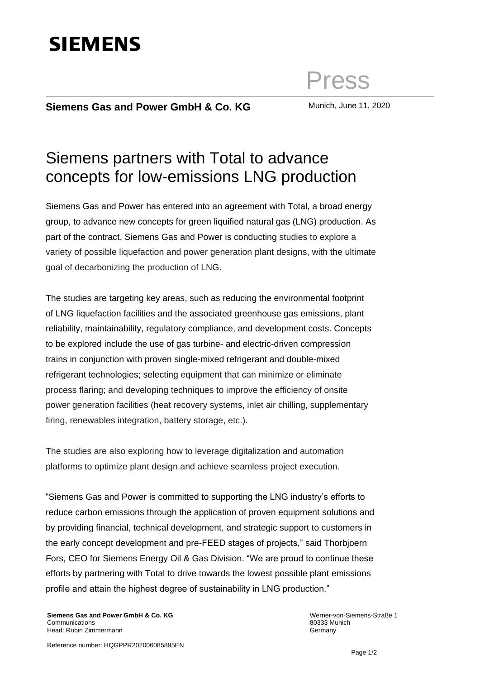# **SIEMENS**

## Press

### **Siemens Gas and Power GmbH & Co. KG** Munich, June 11, 2020

## Siemens partners with Total to advance concepts for low-emissions LNG production

Siemens Gas and Power has entered into an agreement with Total, a broad energy group, to advance new concepts for green liquified natural gas (LNG) production. As part of the contract, Siemens Gas and Power is conducting studies to explore a variety of possible liquefaction and power generation plant designs, with the ultimate goal of decarbonizing the production of LNG.

The studies are targeting key areas, such as reducing the environmental footprint of LNG liquefaction facilities and the associated greenhouse gas emissions, plant reliability, maintainability, regulatory compliance, and development costs. Concepts to be explored include the use of gas turbine- and electric-driven compression trains in conjunction with proven single-mixed refrigerant and double-mixed refrigerant technologies; selecting equipment that can minimize or eliminate process flaring; and developing techniques to improve the efficiency of onsite power generation facilities (heat recovery systems, inlet air chilling, supplementary firing, renewables integration, battery storage, etc.).

The studies are also exploring how to leverage digitalization and automation platforms to optimize plant design and achieve seamless project execution.

"Siemens Gas and Power is committed to supporting the LNG industry's efforts to reduce carbon emissions through the application of proven equipment solutions and by providing financial, technical development, and strategic support to customers in the early concept development and pre-FEED stages of projects," said Thorbjoern Fors, CEO for Siemens Energy Oil & Gas Division. "We are proud to continue these efforts by partnering with Total to drive towards the lowest possible plant emissions profile and attain the highest degree of sustainability in LNG production."

**Siemens Gas and Power GmbH & Co. KG**  Communications Head: Robin Zimmermann

Werner-von-Siemens-Straße 1 80333 Munich **Germany**